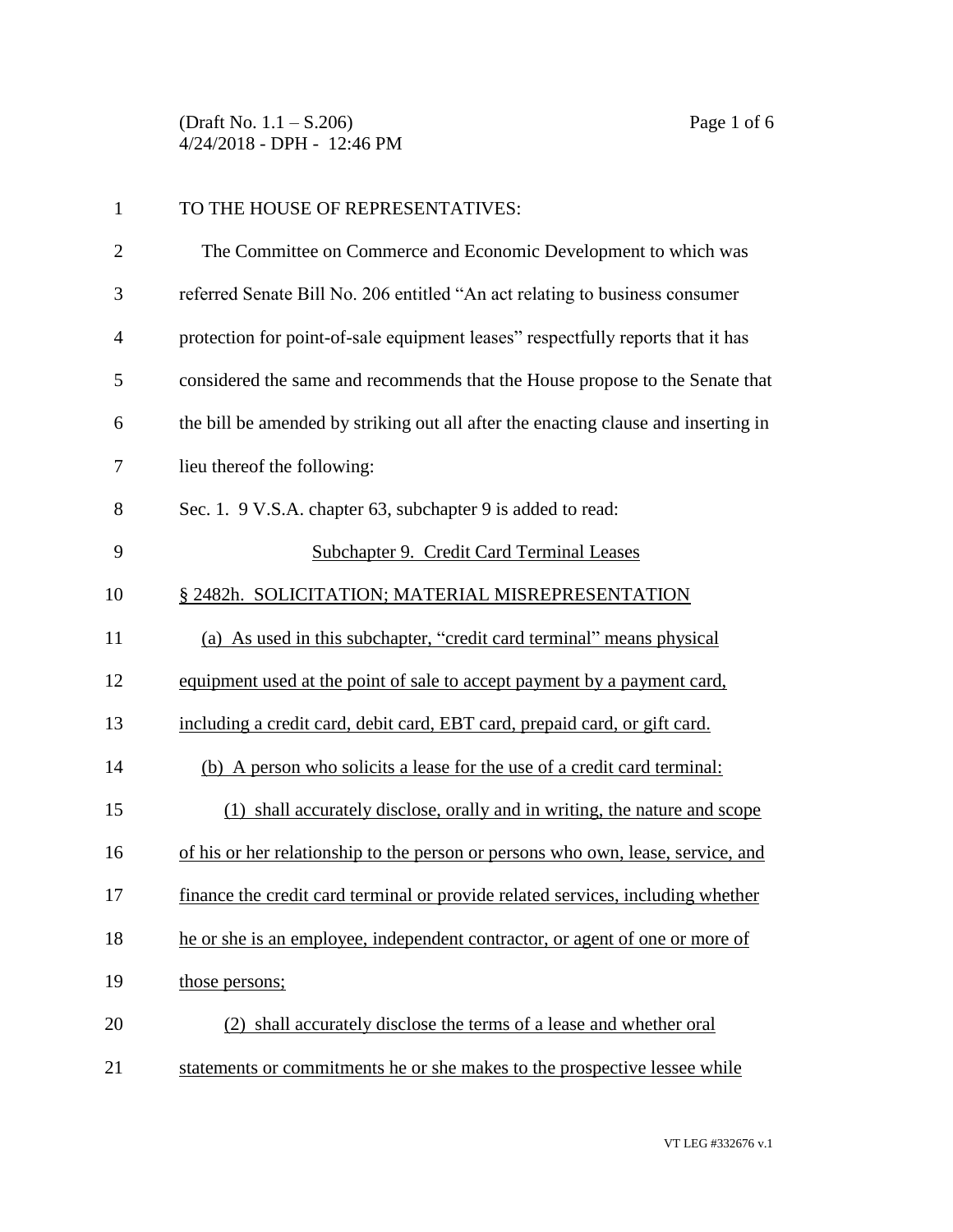(Draft No. 1.1 – S.206) Page 1 of 6 4/24/2018 - DPH - 12:46 PM

| $\mathbf{1}$   | TO THE HOUSE OF REPRESENTATIVES:                                                   |
|----------------|------------------------------------------------------------------------------------|
| $\overline{2}$ | The Committee on Commerce and Economic Development to which was                    |
| 3              | referred Senate Bill No. 206 entitled "An act relating to business consumer        |
| $\overline{4}$ | protection for point-of-sale equipment leases" respectfully reports that it has    |
| 5              | considered the same and recommends that the House propose to the Senate that       |
| 6              | the bill be amended by striking out all after the enacting clause and inserting in |
| 7              | lieu thereof the following:                                                        |
| 8              | Sec. 1. 9 V.S.A. chapter 63, subchapter 9 is added to read:                        |
| 9              | <b>Subchapter 9. Credit Card Terminal Leases</b>                                   |
| 10             | § 2482h. SOLICITATION; MATERIAL MISREPRESENTATION                                  |
| 11             | (a) As used in this subchapter, "credit card terminal" means physical              |
| 12             | equipment used at the point of sale to accept payment by a payment card,           |
| 13             | including a credit card, debit card, EBT card, prepaid card, or gift card.         |
| 14             | (b) A person who solicits a lease for the use of a credit card terminal:           |
| 15             | (1) shall accurately disclose, orally and in writing, the nature and scope         |
| 16             | of his or her relationship to the person or persons who own, lease, service, and   |
| 17             | finance the credit card terminal or provide related services, including whether    |
| 18             | he or she is an employee, independent contractor, or agent of one or more of       |
| 19             | those persons;                                                                     |
| 20             | (2) shall accurately disclose the terms of a lease and whether oral                |
| 21             | statements or commitments he or she makes to the prospective lessee while          |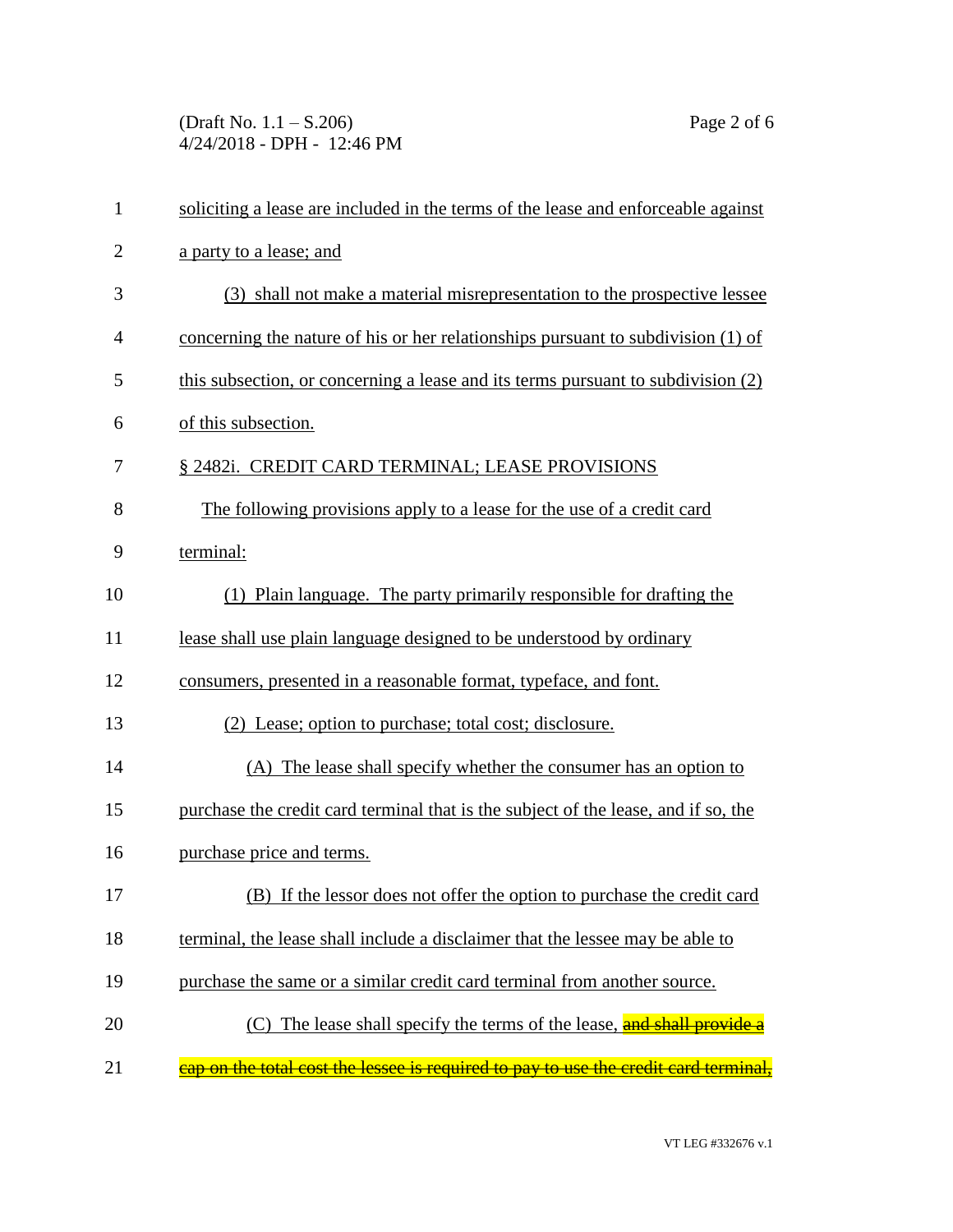(Draft No. 1.1 – S.206) Page 2 of 6 4/24/2018 - DPH - 12:46 PM

| $\mathbf{1}$   | soliciting a lease are included in the terms of the lease and enforceable against    |
|----------------|--------------------------------------------------------------------------------------|
| $\overline{2}$ | a party to a lease; and                                                              |
| 3              | (3) shall not make a material misrepresentation to the prospective lessee            |
| 4              | concerning the nature of his or her relationships pursuant to subdivision (1) of     |
| 5              | this subsection, or concerning a lease and its terms pursuant to subdivision (2)     |
| 6              | of this subsection.                                                                  |
| 7              | § 2482i. CREDIT CARD TERMINAL; LEASE PROVISIONS                                      |
| 8              | The following provisions apply to a lease for the use of a credit card               |
| 9              | terminal:                                                                            |
| 10             | (1) Plain language. The party primarily responsible for drafting the                 |
| 11             | lease shall use plain language designed to be understood by ordinary                 |
| 12             | consumers, presented in a reasonable format, typeface, and font.                     |
| 13             | (2) Lease; option to purchase; total cost; disclosure.                               |
| 14             | (A) The lease shall specify whether the consumer has an option to                    |
| 15             | purchase the credit card terminal that is the subject of the lease, and if so, the   |
| 16             | purchase price and terms.                                                            |
| 17             | (B) If the lessor does not offer the option to purchase the credit card              |
| 18             | terminal, the lease shall include a disclaimer that the lessee may be able to        |
| 19             | purchase the same or a similar credit card terminal from another source.             |
| 20             | (C) The lease shall specify the terms of the lease, and shall provide a              |
| 21             | cap on the total cost the lessee is required to pay to use the credit card terminal, |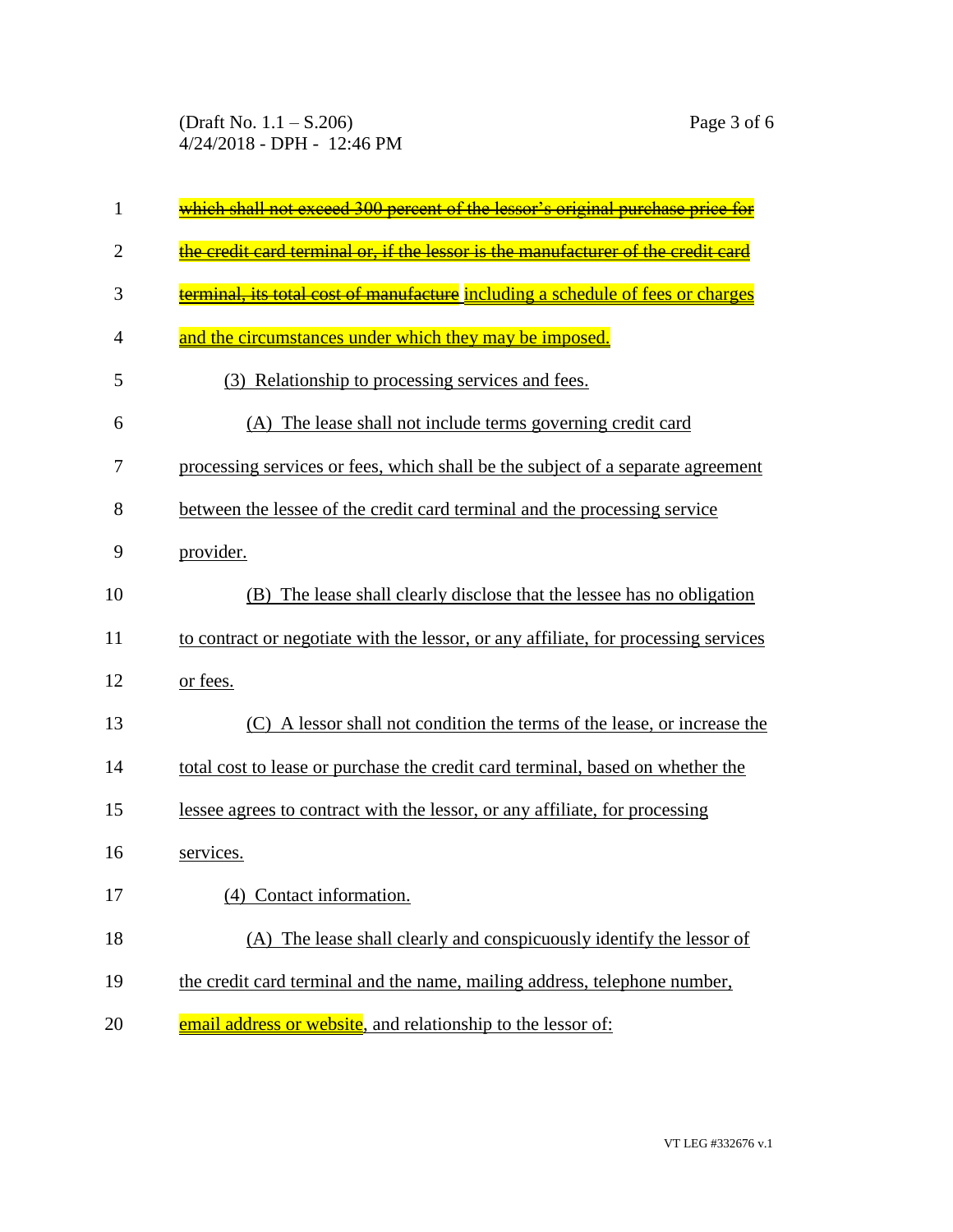(Draft No. 1.1 – S.206) Page 3 of 6 4/24/2018 - DPH - 12:46 PM

| $\mathbf{1}$   | <u>which shall not exceed 300 percent of the lessor's original purchase price for</u> |
|----------------|---------------------------------------------------------------------------------------|
| $\overline{2}$ | the credit card terminal or, if the lessor is the manufacturer of the credit card     |
| 3              | erminal, its total cost of manufacture including a schedule of fees or charges        |
| 4              | and the circumstances under which they may be imposed.                                |
| 5              | (3) Relationship to processing services and fees.                                     |
| 6              | (A) The lease shall not include terms governing credit card                           |
| 7              | processing services or fees, which shall be the subject of a separate agreement       |
| 8              | between the lessee of the credit card terminal and the processing service             |
| 9              | provider.                                                                             |
| 10             | (B) The lease shall clearly disclose that the lessee has no obligation                |
| 11             | to contract or negotiate with the lessor, or any affiliate, for processing services   |
| 12             | or fees.                                                                              |
| 13             | (C) A lessor shall not condition the terms of the lease, or increase the              |
| 14             | total cost to lease or purchase the credit card terminal, based on whether the        |
| 15             | lessee agrees to contract with the lessor, or any affiliate, for processing           |
| 16             | services.                                                                             |
| 17             | (4) Contact information.                                                              |
| 18             | (A) The lease shall clearly and conspicuously identify the lessor of                  |
| 19             | the credit card terminal and the name, mailing address, telephone number,             |
| 20             | email address or website, and relationship to the lessor of:                          |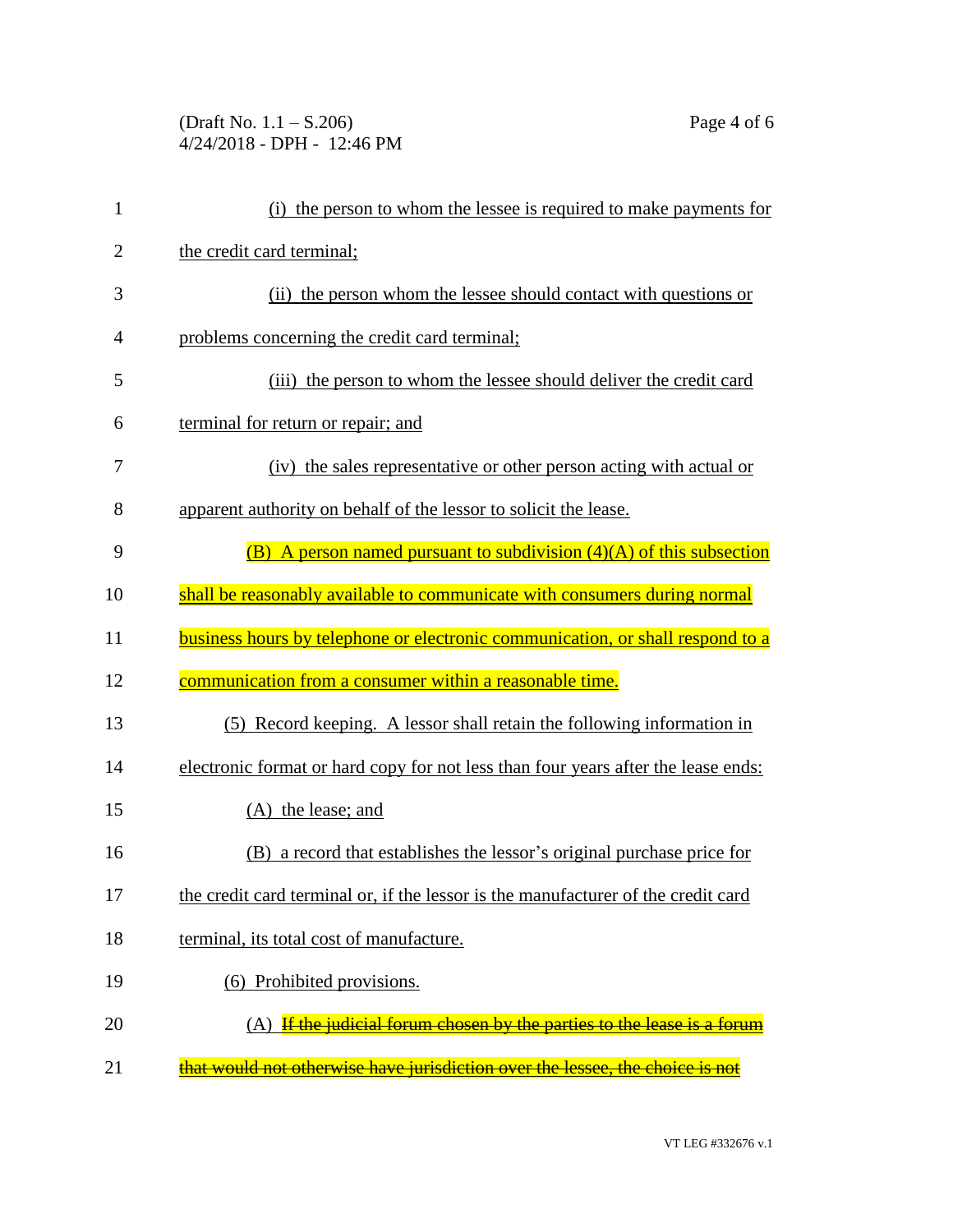(Draft No. 1.1 – S.206) Page 4 of 6 4/24/2018 - DPH - 12:46 PM

| $\mathbf{1}$   | (i) the person to whom the lessee is required to make payments for                |
|----------------|-----------------------------------------------------------------------------------|
| $\overline{2}$ | the credit card terminal;                                                         |
| 3              | (ii) the person whom the lessee should contact with questions or                  |
| 4              | problems concerning the credit card terminal;                                     |
| 5              | (iii) the person to whom the lessee should deliver the credit card                |
| 6              | terminal for return or repair; and                                                |
| 7              | (iv) the sales representative or other person acting with actual or               |
| 8              | apparent authority on behalf of the lessor to solicit the lease.                  |
| 9              | (B) A person named pursuant to subdivision $(4)(A)$ of this subsection            |
| 10             | shall be reasonably available to communicate with consumers during normal         |
| 11             | business hours by telephone or electronic communication, or shall respond to a    |
| 12             | communication from a consumer within a reasonable time.                           |
| 13             | (5) Record keeping. A lessor shall retain the following information in            |
| 14             | electronic format or hard copy for not less than four years after the lease ends: |
| 15             | (A) the lease; and                                                                |
| 16             | (B) a record that establishes the lessor's original purchase price for            |
| 17             | the credit card terminal or, if the lessor is the manufacturer of the credit card |
| 18             | terminal, its total cost of manufacture.                                          |
| 19             | (6) Prohibited provisions.                                                        |
| 20             | If the judicial forum chosen by the parties to the lease is a forum               |
| 21             | that would not otherwise have jurisdiction over the lessee, the choice is not     |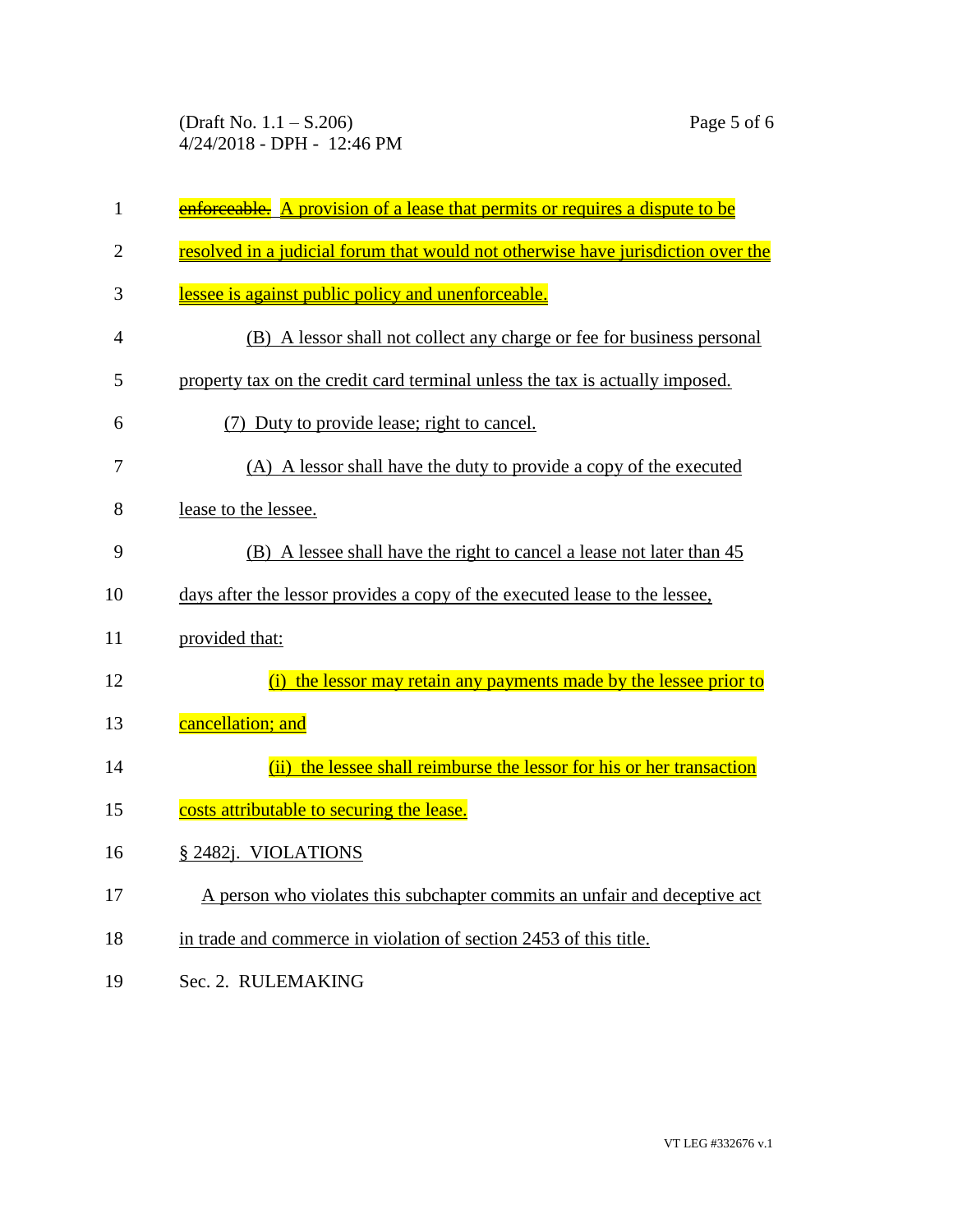| $\mathbf{1}$   | enforceable. A provision of a lease that permits or requires a dispute to be     |
|----------------|----------------------------------------------------------------------------------|
| $\overline{2}$ | resolved in a judicial forum that would not otherwise have jurisdiction over the |
| 3              | lessee is against public policy and unenforceable.                               |
| $\overline{4}$ | (B) A lessor shall not collect any charge or fee for business personal           |
| 5              | property tax on the credit card terminal unless the tax is actually imposed.     |
| 6              | (7) Duty to provide lease; right to cancel.                                      |
| 7              | (A) A lessor shall have the duty to provide a copy of the executed               |
| 8              | lease to the lessee.                                                             |
| 9              | (B) A lessee shall have the right to cancel a lease not later than 45            |
| 10             | days after the lessor provides a copy of the executed lease to the lessee.       |
| 11             | provided that:                                                                   |
| 12             | (i) the lessor may retain any payments made by the lessee prior to               |
| 13             | cancellation; and                                                                |
| 14             | (ii) the lessee shall reimburse the lessor for his or her transaction            |
| 15             | costs attributable to securing the lease.                                        |
| 16             | § 2482j. VIOLATIONS                                                              |
| 17             | A person who violates this subchapter commits an unfair and deceptive act        |
| 18             | in trade and commerce in violation of section 2453 of this title.                |
| 19             | Sec. 2. RULEMAKING                                                               |